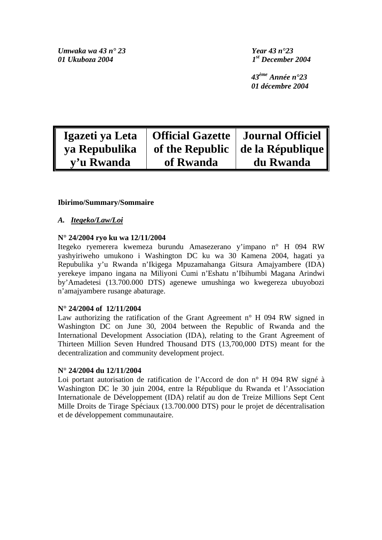*Umwaka wa 43 n° 23 Year 43 n°23 01 Ukuboza 2004 1st December 2004* 

 *43ème Année n°23 01 décembre 2004* 

| Igazeti ya Leta | Official Gazette   Journal Officiel |                                          |
|-----------------|-------------------------------------|------------------------------------------|
| ya Repubulika   |                                     | of the Republic $\vert$ de la République |
| y'u Rwanda      | of Rwanda                           | du Rwanda                                |

# **Ibirimo/Summary/Sommaire**

# *A. Itegeko/Law/Loi*

# **N° 24/2004 ryo ku wa 12/11/2004**

Itegeko ryemerera kwemeza burundu Amasezerano y'impano n° H 094 RW yashyiriweho umukono i Washington DC ku wa 30 Kamena 2004, hagati ya Repubulika y'u Rwanda n'Ikigega Mpuzamahanga Gitsura Amajyambere (IDA) yerekeye impano ingana na Miliyoni Cumi n'Eshatu n'Ibihumbi Magana Arindwi by'Amadetesi (13.700.000 DTS) agenewe umushinga wo kwegereza ubuyobozi n'amajyambere rusange abaturage.

# **N° 24/2004 of 12/11/2004**

Law authorizing the ratification of the Grant Agreement  $n<sup>o</sup>$  H 094 RW signed in Washington DC on June 30, 2004 between the Republic of Rwanda and the International Development Association (IDA), relating to the Grant Agreement of Thirteen Million Seven Hundred Thousand DTS (13,700,000 DTS) meant for the decentralization and community development project.

## **N° 24/2004 du 12/11/2004**

Loi portant autorisation de ratification de l'Accord de don n° H 094 RW signé à Washington DC le 30 juin 2004, entre la République du Rwanda et l'Association Internationale de Développement (IDA) relatif au don de Treize Millions Sept Cent Mille Droits de Tirage Spéciaux (13.700.000 DTS) pour le projet de décentralisation et de développement communautaire.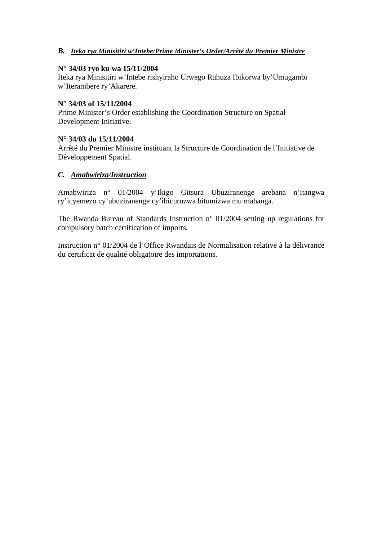# *B. Iteka rya Minisitiri w'Intebe/Prime Minister's Order/Arrêté du Premier Ministre*

# **N° 34/03 ryo ku wa 15/11/2004**

Iteka rya Minisitiri w'Intebe rishyiraho Urwego Ruhuza Ibikorwa by'Umugambi w'Iterambere ry'Akarere.

# **N° 34/03 of 15/11/2004**

Prime Minister's Order establishing the Coordination Structure on Spatial Development Initiative.

# **N° 34/03 du 15/11/2004**

Arrêté du Premier Ministre instituant la Structure de Coordination de l'Initiative de Développement Spatial.

# *C. Amabwiriza/Instruction*

Amabwiriza n° 01/2004 y'Ikigo Gitsura Ubuziranenge arebana n'itangwa ry'icyemezo cy'ubuziranenge cy'ibicuruzwa bitumizwa mu mahanga.

The Rwanda Bureau of Standards Instruction n° 01/2004 setting up regulations for compulsory batch certification of imports.

Instruction n° 01/2004 de l'Office Rwandais de Normalisation relative à la délivrance du certificat de qualité obligatoire des importations.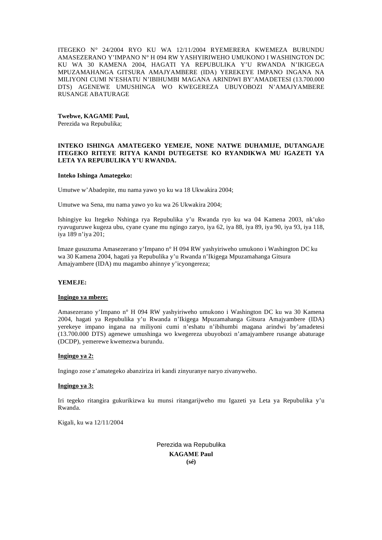ITEGEKO N° 24/2004 RYO KU WA 12/11/2004 RYEMERERA KWEMEZA BURUNDU AMASEZERANO Y'IMPANO N° H 094 RW YASHYIRIWEHO UMUKONO I WASHINGTON DC KU WA 30 KAMENA 2004, HAGATI YA REPUBULIKA Y'U RWANDA N'IKIGEGA MPUZAMAHANGA GITSURA AMAJYAMBERE (IDA) YEREKEYE IMPANO INGANA NA MILIYONI CUMI N'ESHATU N'IBIHUMBI MAGANA ARINDWI BY'AMADETESI (13.700.000 DTS) AGENEWE UMUSHINGA WO KWEGEREZA UBUYOBOZI N'AMAJYAMBERE RUSANGE ABATURAGE

#### **Twebwe, KAGAME Paul,**

Perezida wa Repubulika;

### **INTEKO ISHINGA AMATEGEKO YEMEJE, NONE NATWE DUHAMIJE, DUTANGAJE ITEGEKO RITEYE RITYA KANDI DUTEGETSE KO RYANDIKWA MU IGAZETI YA LETA YA REPUBULIKA Y'U RWANDA.**

#### **Inteko Ishinga Amategeko:**

Umutwe w'Abadepite, mu nama yawo yo ku wa 18 Ukwakira 2004;

Umutwe wa Sena, mu nama yawo yo ku wa 26 Ukwakira 2004;

Ishingiye ku Itegeko Nshinga rya Repubulika y'u Rwanda ryo ku wa 04 Kamena 2003, nk'uko ryavuguruwe kugeza ubu, cyane cyane mu ngingo zaryo, iya 62, iya 88, iya 89, iya 90, iya 93, iya 118, iya 189 n'iya 201;

Imaze gusuzuma Amasezerano y'Impano n° H 094 RW yashyiriweho umukono i Washington DC ku wa 30 Kamena 2004, hagati ya Repubulika y'u Rwanda n'Ikigega Mpuzamahanga Gitsura Amajyambere (IDA) mu magambo ahinnye y'icyongereza;

#### **YEMEJE:**

#### **Ingingo ya mbere:**

Amasezerano y'Impano n° H 094 RW yashyiriweho umukono i Washington DC ku wa 30 Kamena 2004, hagati ya Repubulika y'u Rwanda n'Ikigega Mpuzamahanga Gitsura Amajyambere (IDA) yerekeye impano ingana na miliyoni cumi n'eshatu n'ibihumbi magana arindwi by'amadetesi (13.700.000 DTS) agenewe umushinga wo kwegereza ubuyobozi n'amajyambere rusange abaturage (DCDP), yemerewe kwemezwa burundu.

#### **Ingingo ya 2:**

Ingingo zose z'amategeko abanziriza iri kandi zinyuranye naryo zivanyweho.

#### **Ingingo ya 3:**

Iri tegeko ritangira gukurikizwa ku munsi ritangarijweho mu Igazeti ya Leta ya Repubulika y'u Rwanda.

Kigali, ku wa 12/11/2004

Perezida wa Repubulika **KAGAME Paul (sé)**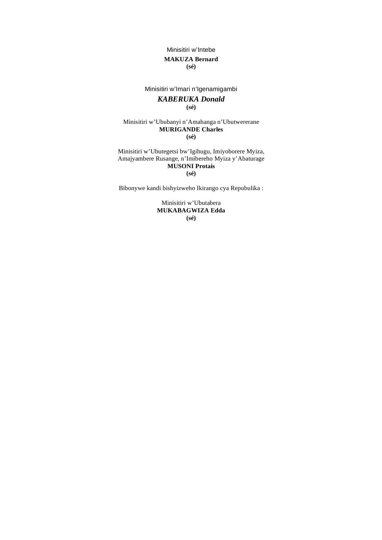# Minisitiri w'Intebe **MAKUZA Bernard (sé)**

# Minisitiri w'Imari n'Igenamigambi

## *KABERUKA Donald*  **(sé)**

## Minisitiri w'Ububanyi n'Amahanga n'Ubutwererane **MURIGANDE Charles (sé)**

Minisitiri w'Ubutegetsi bw'Igihugu, Imiyoborere Myiza, Amajyambere Rusange, n'Imibereho Myiza y'Abaturage **MUSONI Protais (sé)** 

Bibonywe kandi bishyizweho Ikirango cya Repubulika :

Minisitiri w'Ubutabera **MUKABAGWIZA Edda (sé)**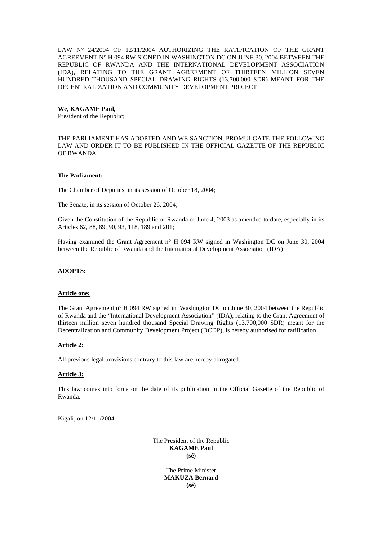LAW N° 24/2004 OF 12/11/2004 AUTHORIZING THE RATIFICATION OF THE GRANT AGREEMENT N° H 094 RW SIGNED IN WASHINGTON DC ON JUNE 30, 2004 BETWEEN THE REPUBLIC OF RWANDA AND THE INTERNATIONAL DEVELOPMENT ASSOCIATION (IDA), RELATING TO THE GRANT AGREEMENT OF THIRTEEN MILLION SEVEN HUNDRED THOUSAND SPECIAL DRAWING RIGHTS (13,700,000 SDR) MEANT FOR THE DECENTRALIZATION AND COMMUNITY DEVELOPMENT PROJECT

## **We, KAGAME Paul,**

President of the Republic;

THE PARLIAMENT HAS ADOPTED AND WE SANCTION, PROMULGATE THE FOLLOWING LAW AND ORDER IT TO BE PUBLISHED IN THE OFFICIAL GAZETTE OF THE REPUBLIC OF RWANDA

## **The Parliament:**

The Chamber of Deputies, in its session of October 18, 2004;

The Senate, in its session of October 26, 2004;

Given the Constitution of the Republic of Rwanda of June 4, 2003 as amended to date, especially in its Articles 62, 88, 89, 90, 93, 118, 189 and 201;

Having examined the Grant Agreement n° H 094 RW signed in Washington DC on June 30, 2004 between the Republic of Rwanda and the International Development Association (IDA);

## **ADOPTS:**

#### **Article one:**

The Grant Agreement n° H 094 RW signed in Washington DC on June 30, 2004 between the Republic of Rwanda and the "International Development Association" (IDA), relating to the Grant Agreement of thirteen million seven hundred thousand Special Drawing Rights (13,700,000 SDR) meant for the Decentralization and Community Development Project (DCDP), is hereby authorised for ratification.

## **Article 2:**

All previous legal provisions contrary to this law are hereby abrogated.

## **Article 3:**

This law comes into force on the date of its publication in the Official Gazette of the Republic of Rwanda.

Kigali, on 12/11/2004

The President of the Republic **KAGAME Paul (sé)** 

> The Prime Minister **MAKUZA Bernard (sé)**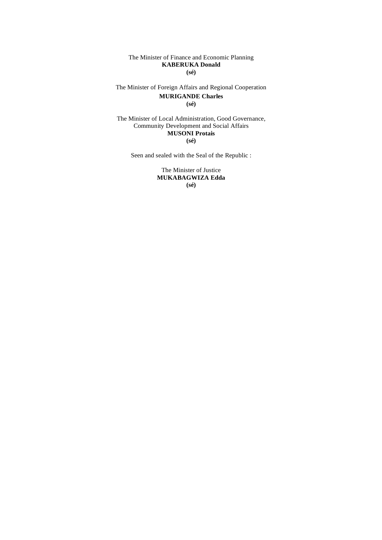The Minister of Finance and Economic Planning **KABERUKA Donald (sé)** 

The Minister of Foreign Affairs and Regional Cooperation **MURIGANDE Charles (sé)**

The Minister of Local Administration, Good Governance, Community Development and Social Affairs **MUSONI Protais (sé)** 

Seen and sealed with the Seal of the Republic :

The Minister of Justice **MUKABAGWIZA Edda (sé)**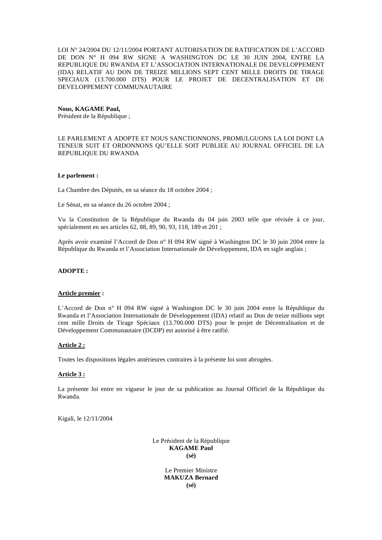LOI N° 24/2004 DU 12/11/2004 PORTANT AUTORISATION DE RATIFICATION DE L'ACCORD DE DON N° H 094 RW SIGNE A WASHINGTON DC LE 30 JUIN 2004, ENTRE LA REPUBLIQUE DU RWANDA ET L'ASSOCIATION INTERNATIONALE DE DEVELOPPEMENT (IDA) RELATIF AU DON DE TREIZE MILLIONS SEPT CENT MILLE DROITS DE TIRAGE SPECIAUX (13.700.000 DTS) POUR LE PROJET DE DECENTRALISATION ET DE DEVELOPPEMENT COMMUNAUTAIRE

## **Nous, KAGAME Paul,**

Président de la République ;

LE PARLEMENT A ADOPTE ET NOUS SANCTIONNONS, PROMULGUONS LA LOI DONT LA TENEUR SUIT ET ORDONNONS QU'ELLE SOIT PUBLIEE AU JOURNAL OFFICIEL DE LA REPUBLIQUE DU RWANDA

## **Le parlement :**

La Chambre des Députés, en sa séance du 18 octobre 2004 ;

Le Sénat, en sa séance du 26 octobre 2004 ;

Vu la Constitution de la République du Rwanda du 04 juin 2003 telle que révisée à ce jour, spécialement en ses articles 62, 88, 89, 90, 93, 118, 189 et 201 ;

Après avoir examiné l'Accord de Don n° H 094 RW signé à Washington DC le 30 juin 2004 entre la République du Rwanda et l'Association Internationale de Développement, IDA en sigle anglais ;

## **ADOPTE :**

#### **Article premier :**

L'Accord de Don n° H 094 RW signé à Washington DC le 30 juin 2004 entre la République du Rwanda et l'Association Internationale de Développement (IDA) relatif au Don de treize millions sept cent mille Droits de Tirage Spéciaux (13.700.000 DTS) pour le projet de Décentralisation et de Développement Communautaire (DCDP) est autorisé à être ratifié.

## **Article 2 :**

Toutes les dispositions légales antérieures contraires à la présente loi sont abrogées.

#### **Article 3 :**

La présente loi entre en vigueur le jour de sa publication au Journal Officiel de la République du Rwanda.

Kigali, le 12/11/2004

Le Président de la République **KAGAME Paul (sé)**

> Le Premier Ministre **MAKUZA Bernard (sé)**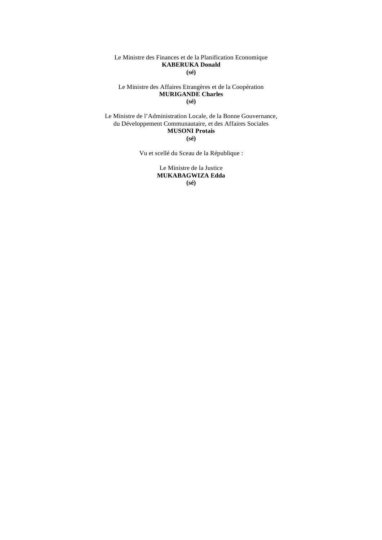#### Le Ministre des Finances et de la Planification Economique **KABERUKA Donald (sé)**

Le Ministre des Affaires Etrangères et de la Coopération **MURIGANDE Charles (sé)**

Le Ministre de l'Administration Locale, de la Bonne Gouvernance, du Développement Communautaire, et des Affaires Sociales **MUSONI Protais (sé)** 

Vu et scellé du Sceau de la République :

Le Ministre de la Justice **MUKABAGWIZA Edda (sé)**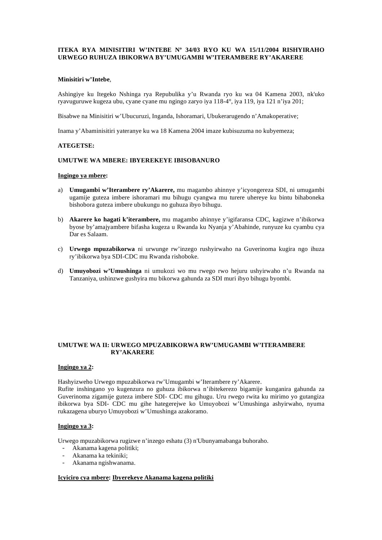## **ITEKA RYA MINISITIRI W'INTEBE Nº 34/03 RYO KU WA 15/11/2004 RISHYIRAHO URWEGO RUHUZA IBIKORWA BY'UMUGAMBI W'ITERAMBERE RY'AKARERE**

#### **Minisitiri w'Intebe**,

Ashingiye ku Itegeko Nshinga rya Repubulika y'u Rwanda ryo ku wa 04 Kamena 2003, nk'uko ryavuguruwe kugeza ubu, cyane cyane mu ngingo zaryo iya 118-4°, iya 119, iya 121 n'iya 201;

Bisabwe na Minisitiri w'Ubucuruzi, Inganda, Ishoramari, Ubukerarugendo n'Amakoperative;

Inama y'Abaminisitiri yateranye ku wa 18 Kamena 2004 imaze kubisuzuma no kubyemeza;

## **ATEGETSE:**

## **UMUTWE WA MBERE: IBYEREKEYE IBISOBANURO**

#### **Ingingo ya mbere:**

- a) **Umugambi w'Iterambere ry'Akarere,** mu magambo ahinnye y'icyongereza SDI, ni umugambi ugamije guteza imbere ishoramari mu bihugu cyangwa mu turere uhereye ku bintu bihaboneka bishobora guteza imbere ubukungu no guhuza ibyo bihugu.
- b) **Akarere ko hagati k'iterambere,** mu magambo ahinnye y'igifaransa CDC, kagizwe n'ibikorwa byose by'amajyambere bifasha kugeza u Rwanda ku Nyanja y'Abahinde, runyuze ku cyambu cya Dar es Salaam.
- c) **Urwego mpuzabikorwa** ni urwunge rw'inzego rushyirwaho na Guverinoma kugira ngo ihuza ry'ibikorwa bya SDI-CDC mu Rwanda rishoboke.
- d) **Umuyobozi w'Umushinga** ni umukozi wo mu rwego rwo hejuru ushyirwaho n'u Rwanda na Tanzaniya, ushinzwe gushyira mu bikorwa gahunda za SDI muri ibyo bihugu byombi.

## **UMUTWE WA II: URWEGO MPUZABIKORWA RW'UMUGAMBI W'ITERAMBERE RY'AKARERE**

#### **Ingingo ya 2:**

Hashyizweho Urwego mpuzabikorwa rw'Umugambi w'Iterambere ry'Akarere.

Rufite inshingano yo kugenzura no guhuza ibikorwa n'ibitekerezo bigamije kunganira gahunda za Guverinoma zigamije guteza imbere SDI- CDC mu gihugu. Uru rwego rwita ku mirimo yo gutangiza ibikorwa bya SDI- CDC mu gihe hategerejwe ko Umuyobozi w'Umushinga ashyirwaho, nyuma rukazagena uburyo Umuyobozi w'Umushinga azakoramo.

#### **Ingingo ya 3:**

Urwego mpuzabikorwa rugizwe n'inzego eshatu (3) n'Ubunyamabanga buhoraho.

- Akanama kagena politiki;
- Akanama ka tekiniki;
- Akanama ngishwanama.

### **Icyiciro cya mbere: Ibyerekeye Akanama kagena politiki**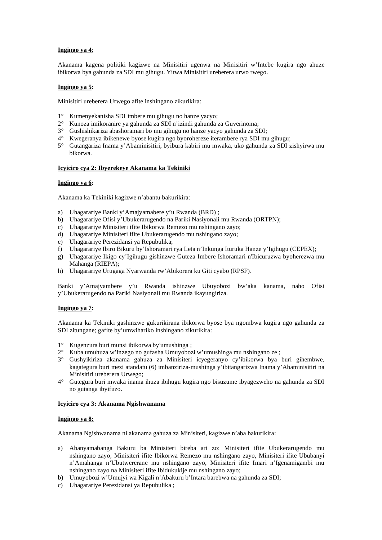## **Ingingo ya 4**:

Akanama kagena politiki kagizwe na Minisitiri ugenwa na Minisitiri w'Intebe kugira ngo ahuze ibikorwa bya gahunda za SDI mu gihugu. Yitwa Minisitiri ureberera urwo rwego.

## **Ingingo ya 5:**

Minisitiri ureberera Urwego afite inshingano zikurikira:

- 1° Kumenyekanisha SDI imbere mu gihugu no hanze yacyo;
- 2° Kunoza imikoranire ya gahunda za SDI n'izindi gahunda za Guverinoma;
- 3° Gushishikariza abashoramari bo mu gihugu no hanze yacyo gahunda za SDI;
- 4° Kwegeranya ibikenewe byose kugira ngo byorohereze iterambere rya SDI mu gihugu;
- 5° Gutangariza Inama y'Abaminisitiri, byibura kabiri mu mwaka, uko gahunda za SDI zishyirwa mu bikorwa.

## **Icyiciro cya 2: Ibyerekeye Akanama ka Tekiniki**

## **Ingingo ya 6:**

Akanama ka Tekiniki kagizwe n'abantu bakurikira:

- a) Uhagarariye Banki y'Amajyamabere y'u Rwanda (BRD) ;
- b) Uhagarariye Ofisi y'Ubukerarugendo na Pariki Nasiyonali mu Rwanda (ORTPN);
- c) Uhagarariye Minisiteri ifite Ibikorwa Remezo mu nshingano zayo;
- d) Uhagarariye Minisiteri ifite Ubukerarugendo mu nshingano zayo;
- e) Uhagarariye Perezidansi ya Repubulika;
- f) Uhagarariye Ibiro Bikuru by'Ishoramari rya Leta n'Inkunga Ituruka Hanze y'Igihugu (CEPEX);
- g) Uhagarariye Ikigo cy'Igihugu gishinzwe Guteza Imbere Ishoramari n'Ibicuruzwa byoherezwa mu Mahanga (RIEPA);
- h) Uhagarariye Urugaga Nyarwanda rw'Abikorera ku Giti cyabo (RPSF).

Banki y'Amajyambere y'u Rwanda ishinzwe Ubuyobozi bw'aka kanama, naho Ofisi y'Ubukerarugendo na Pariki Nasiyonali mu Rwanda ikayungiriza.

## **Ingingo ya 7:**

Akanama ka Tekiniki gashinzwe gukurikirana ibikorwa byose bya ngombwa kugira ngo gahunda za SDI zitungane; gafite by'umwihariko inshingano zikurikira:

- 1° Kugenzura buri munsi ibikorwa by'umushinga ;
- 2° Kuba umuhuza w'inzego no gufasha Umuyobozi w'umushinga mu nshingano ze ;
- 3° Gushyikiriza akanama gahuza za Minisiteri icyegeranyo cy'ibikorwa bya buri gihembwe, kagategura buri mezi atandatu (6) imbanziriza-mushinga y'ibitangarizwa Inama y'Abaminisitiri na Minisitiri ureberera Urwego;
- 4° Gutegura buri mwaka inama ihuza ibihugu kugira ngo bisuzume ibyagezweho na gahunda za SDI no gutanga ibyifuzo.

## **Icyiciro cya 3: Akanama Ngishwanama**

## **Ingingo ya 8:**

Akanama Ngishwanama ni akanama gahuza za Minisiteri, kagizwe n'aba bakurikira:

- a) Abanyamabanga Bakuru ba Minisiteri bireba ari zo: Minisiteri ifite Ubukerarugendo mu nshingano zayo, Minisiteri ifite Ibikorwa Remezo mu nshingano zayo, Minisiteri ifite Ububanyi n'Amahanga n'Ubutwererane mu nshingano zayo, Minisiteri ifite Imari n'Igenamigambi mu nshingano zayo na Minisiteri ifite Ibidukukije mu nshingano zayo;
- b) Umuyobozi w'Umujyi wa Kigali n'Abakuru b'Intara barebwa na gahunda za SDI;
- c) Uhagarariye Perezidansi ya Repubulika ;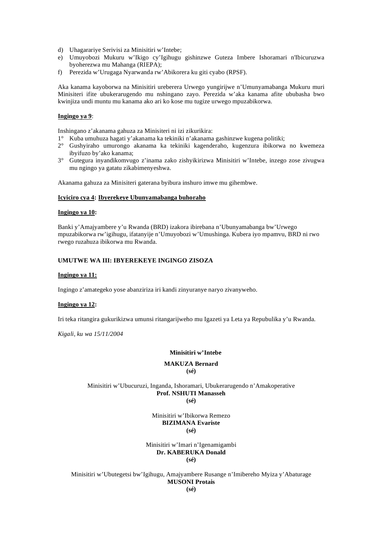- d) Uhagarariye Serivisi za Minisitiri w'Intebe;
- e) Umuyobozi Mukuru w'Ikigo cy'Igihugu gishinzwe Guteza Imbere Ishoramari n'Ibicuruzwa byoherezwa mu Mahanga (RIEPA);
- f) Perezida w'Urugaga Nyarwanda rw'Abikorera ku giti cyabo (RPSF).

Aka kanama kayoborwa na Minisitiri ureberera Urwego yungirijwe n'Umunyamabanga Mukuru muri Minisiteri ifite ubukerarugendo mu nshingano zayo. Perezida w'aka kanama afite ububasha bwo kwinjiza undi muntu mu kanama ako ari ko kose mu tugize urwego mpuzabikorwa.

## **Ingingo ya 9**:

Inshingano z'akanama gahuza za Minisiteri ni izi zikurikira:

- 1° Kuba umuhuza hagati y'akanama ka tekiniki n'akanama gashinzwe kugena politiki;
- 2° Gushyiraho umurongo akanama ka tekiniki kagenderaho, kugenzura ibikorwa no kwemeza ibyifuzo by'ako kanama;
- 3° Gutegura inyandikomvugo z'inama zako zishyikirizwa Minisitiri w'Intebe, inzego zose zivugwa mu ngingo ya gatatu zikabimenyeshwa.

Akanama gahuza za Minisiteri gaterana byibura inshuro imwe mu gihembwe.

#### **Icyiciro cya 4: Ibyerekeye Ubunyamabanga buhoraho**

#### **Ingingo ya 10:**

Banki y'Amajyambere y'u Rwanda (BRD) izakora ibirebana n'Ubunyamabanga bw'Urwego mpuzabikorwa rw'igihugu, ifatanyije n'Umuyobozi w'Umushinga. Kubera iyo mpamvu, BRD ni rwo rwego ruzahuza ibikorwa mu Rwanda.

#### **UMUTWE WA III: IBYEREKEYE INGINGO ZISOZA**

#### **Ingingo ya 11:**

Ingingo z'amategeko yose abanziriza iri kandi zinyuranye naryo zivanyweho.

## **Ingingo ya 12:**

Iri teka ritangira gukurikizwa umunsi ritangarijweho mu Igazeti ya Leta ya Repubulika y'u Rwanda.

*Kigali, ku wa 15/11/2004* 

#### **Minisitiri w'Intebe**

# **MAKUZA Bernard**

**(sé)** 

# Minisitiri w'Ubucuruzi, Inganda, Ishoramari, Ubukerarugendo n'Amakoperative **Prof. NSHUTI Manasseh**

**(sé)** 

Minisitiri w'Ibikorwa Remezo **BIZIMANA Evariste (sé)** 

#### Minisitiri w'Imari n'Igenamigambi **Dr. KABERUKA Donald (sé)**

Minisitiri w'Ubutegetsi bw'Igihugu, Amajyambere Rusange n'Imibereho Myiza y'Abaturage **MUSONI Protais**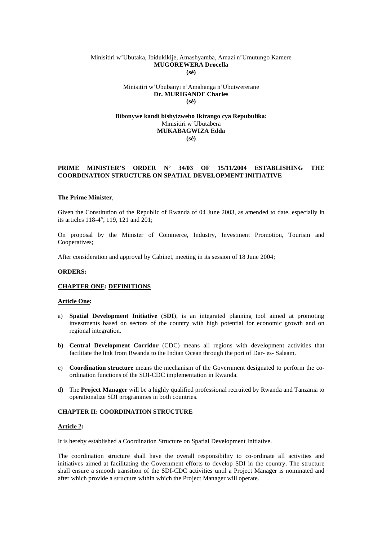#### Minisitiri w'Ubutaka, Ibidukikije, Amashyamba, Amazi n'Umutungo Kamere **MUGOREWERA Drocella (sé)**

Minisitiri w'Ububanyi n'Amahanga n'Ubutwererane **Dr. MURIGANDE Charles (sé)** 

## **Bibonywe kandi bishyizweho Ikirango cya Repubulika:**  Minisitiri w'Ubutabera **MUKABAGWIZA Edda (sé)**

## **PRIME MINISTER'S ORDER Nº 34/03 OF 15/11/2004 ESTABLISHING THE COORDINATION STRUCTURE ON SPATIAL DEVELOPMENT INITIATIVE**

#### **The Prime Minister**,

Given the Constitution of the Republic of Rwanda of 04 June 2003, as amended to date, especially in its articles 118-4°, 119, 121 and 201;

On proposal by the Minister of Commerce, Industry, Investment Promotion, Tourism and Cooperatives;

After consideration and approval by Cabinet, meeting in its session of 18 June 2004;

#### **ORDERS:**

#### **CHAPTER ONE: DEFINITIONS**

#### **Article One:**

- a) **Spatial Development Initiative** (**SDI**), is an integrated planning tool aimed at promoting investments based on sectors of the country with high potential for economic growth and on regional integration.
- b) **Central Development Corridor** (CDC) means all regions with development activities that facilitate the link from Rwanda to the Indian Ocean through the port of Dar- es- Salaam.
- c) **Coordination structure** means the mechanism of the Government designated to perform the coordination functions of the SDI-CDC implementation in Rwanda.
- d) The **Project Manager** will be a highly qualified professional recruited by Rwanda and Tanzania to operationalize SDI programmes in both countries.

#### **CHAPTER II: COORDINATION STRUCTURE**

#### **Article 2:**

It is hereby established a Coordination Structure on Spatial Development Initiative.

The coordination structure shall have the overall responsibility to co-ordinate all activities and initiatives aimed at facilitating the Government efforts to develop SDI in the country. The structure shall ensure a smooth transition of the SDI-CDC activities until a Project Manager is nominated and after which provide a structure within which the Project Manager will operate.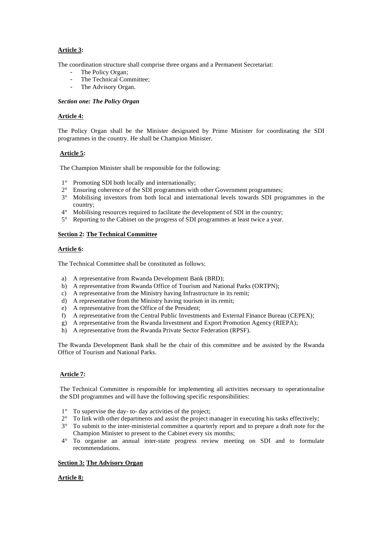## **Article 3:**

The coordination structure shall comprise three organs and a Permanent Secretariat:

- The Policy Organ;
- The Technical Committee;
- The Advisory Organ.

## *Section one: The Policy Organ*

## **Article 4:**

The Policy Organ shall be the Minister designated by Prime Minister for coordinating the SDI programmes in the country. He shall be Champion Minister.

## **Article 5:**

The Champion Minister shall be responsible for the following:

- 1° Promoting SDI both locally and internationally;
- 2° Ensuring coherence of the SDI programmes with other Government programmes;
- 3° Mobilising investors from both local and international levels towards SDI programmes in the country;
- 4° Mobilising resources required to facilitate the development of SDI in the country;
- 5° Reporting to the Cabinet on the progress of SDI programmes at least twice a year.

## **Section 2: The Technical Committee**

## **Article 6:**

The Technical Committee shall be constituted as follows:

- a) A representative from Rwanda Development Bank (BRD);
- b) A representative from Rwanda Office of Tourism and National Parks (ORTPN);
- c) A representative from the Ministry having Infrastructure in its remit;
- d) A representative from the Ministry having tourism in its remit;
- e) A representative from the Office of the President;
- f) A representative from the Central Public Investments and External Finance Bureau (CEPEX);
- g) A representative from the Rwanda Investment and Export Promotion Agency (RIEPA);
- h) A representative from the Rwanda Private Sector Federation (RPSF).

The Rwanda Development Bank shall be the chair of this committee and be assisted by the Rwanda Office of Tourism and National Parks.

## **Article 7:**

The Technical Committee is responsible for implementing all activities necessary to operationnalise the SDI programmes and will have the following specific responsibilities:

- 1° To supervise the day- to- day activities of the project;
- 2° To link with other departments and assist the project manager in executing his tasks effectively;
- 3° To submit to the inter-ministerial committee a quarterly report and to prepare a draft note for the Champion Minister to present to the Cabinet every six months;
- 4° To organise an annual inter-state progress review meeting on SDI and to formulate recommendations.

## **Section 3: The Advisory Organ**

## **Article 8:**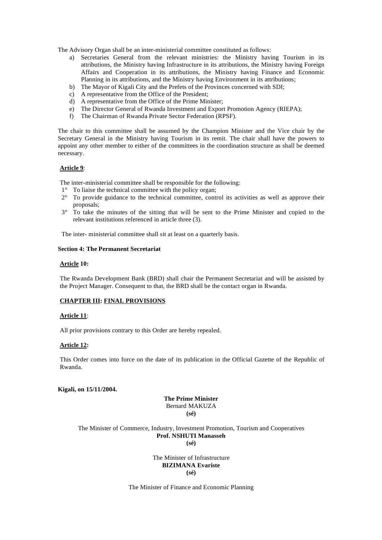The Advisory Organ shall be an inter-ministerial committee constituted as follows:

- a) Secretaries General from the relevant ministries: the Ministry having Tourism in its attributions, the Ministry having Infrastructure in its attributions, the Ministry having Foreign Affairs and Cooperation in its attributions, the Ministry having Finance and Economic Planning in its attributions, and the Ministry having Environment in its attributions;
- b) The Mayor of Kigali City and the Prefets of the Provinces concerned with SDI;
- c) A representative from the Office of the President;
- d) A representative from the Office of the Prime Minister;
- e) The Director General of Rwanda Investment and Export Promotion Agency (RIEPA);
- f) The Chairman of Rwanda Private Sector Federation (RPSF).

The chair to this committee shall be assumed by the Champion Minister and the Vice chair by the Secretary General in the Ministry having Tourism in its remit. The chair shall have the powers to appoint any other member to either of the committees in the coordination structure as shall be deemed necessary.

## **Article 9**:

The inter-ministerial committee shall be responsible for the following:

- 1° To liaise the technical committee with the policy organ;
- 2° To provide guidance to the technical committee, control its activities as well as approve their proposals;
- <sup>3°</sup> To take the minutes of the sitting that will be sent to the Prime Minister and copied to the relevant institutions referenced in article three (3).

The inter- ministerial committee shall sit at least on a quarterly basis.

## **Section 4: The Permanent Secretariat**

## **Article 10:**

The Rwanda Development Bank (BRD) shall chair the Permanent Secretariat and will be assisted by the Project Manager. Consequent to that, the BRD shall be the contact organ in Rwanda.

## **CHAPTER III: FINAL PROVISIONS**

## **Article 11**:

All prior provisions contrary to this Order are hereby repealed.

## **Article 12:**

This Order comes into force on the date of its publication in the Official Gazette of the Republic of Rwanda.

#### **Kigali, on 15/11/2004.**

## **The Prime Minister**  Bernard MAKUZA **(sé)**

The Minister of Commerce, Industry, Investment Promotion, Tourism and Cooperatives **Prof. NSHUTI Manasseh** 

**(sé)** 

The Minister of Infrastructure **BIZIMANA Evariste (sé)**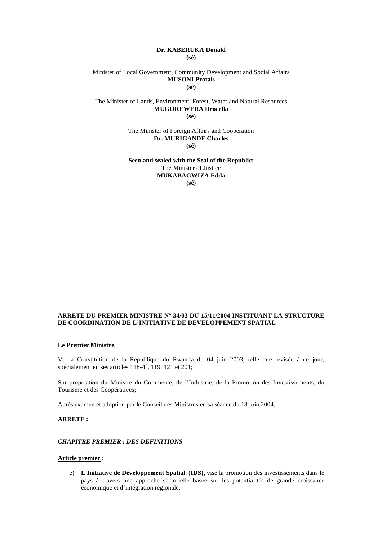## **Dr. KABERUKA Donald (sé)**

## Minister of Local Government, Community Development and Social Affairs **MUSONI Protais (sé)**

#### The Minister of Lands, Environment, Forest, Water and Natural Resources **MUGOREWERA Drocella (sé)**

The Minister of Foreign Affairs and Cooperation **Dr. MURIGANDE Charles (sé)** 

**Seen and sealed with the Seal of the Republic:**  The Minister of Justice **MUKABAGWIZA Edda (sé)** 

## **ARRETE DU PREMIER MINISTRE Nº 34/03 DU 15/11/2004 INSTITUANT LA STRUCTURE DE COORDINATION DE L'INITIATIVE DE DEVELOPPEMENT SPATIAL**

#### **Le Premier Ministre**,

Vu la Constitution de la République du Rwanda du 04 juin 2003, telle que révisée à ce jour, spécialement en ses articles 118-4°, 119, 121 et 201;

Sur proposition du Ministre du Commerce, de l'Industrie, de la Promotion des Investissements, du Tourisme et des Coopératives;

Après examen et adoption par le Conseil des Ministres en sa séance du 18 juin 2004;

#### **ARRETE :**

## *CHAPITRE PREMIER : DES DEFINITIONS*

#### **Article premier :**

e) **L'Initiative de Développement Spatial**, (**IDS),** vise la promotion des investissements dans le pays à travers une approche sectorielle basée sur les potentialités de grande croissance économique et d'intégration régionale.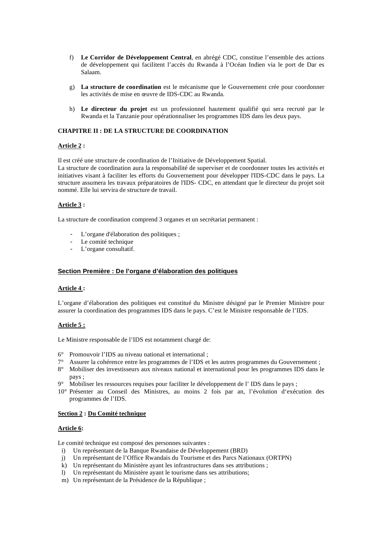- f) **Le Corridor de Développement Central**, en abrégé CDC, constitue l'ensemble des actions de développement qui facilitent l'accès du Rwanda à l'Océan Indien via le port de Dar es Salaam.
- g) **La structure de coordination** est le mécanisme que le Gouvernement crée pour coordonner les activités de mise en œuvre de IDS-CDC au Rwanda.
- h) **Le directeur du projet** est un professionnel hautement qualifié qui sera recruté par le Rwanda et la Tanzanie pour opérationnaliser les programmes IDS dans les deux pays.

## **CHAPITRE II : DE LA STRUCTURE DE COORDINATION**

## **Article 2 :**

Il est créé une structure de coordination de l'Initiative de Développement Spatial.

La structure de coordination aura la responsabilité de superviser et de coordonner toutes les activités et initiatives visant à faciliter les efforts du Gouvernement pour développer l'IDS-CDC dans le pays. La structure assumera les travaux préparatoires de l'IDS- CDC, en attendant que le directeur du projet soit nommé. Elle lui servira de structure de travail.

## **Article 3 :**

La structure de coordination comprend 3 organes et un secrétariat permanent :

- L'organe d'élaboration des politiques ;
- Le comité technique
- L'organe consultatif.

## **Section Première : De l'organe d'élaboration des politiques**

## **Article 4 :**

L'organe d'élaboration des politiques est constitué du Ministre désigné par le Premier Ministre pour assurer la coordination des programmes IDS dans le pays. C'est le Ministre responsable de l'IDS.

## **Article 5 :**

Le Ministre responsable de l'IDS est notamment chargé de:

- 6° Promouvoir l'IDS au niveau national et international ;
- 7° Assurer la cohérence entre les programmes de l'IDS et les autres programmes du Gouvernement ;
- 8° Mobiliser des investisseurs aux niveaux national et international pour les programmes IDS dans le pays ;
- 9° Mobiliser les ressources requises pour faciliter le développement de l' IDS dans le pays ;
- 10° Présenter au Conseil des Ministres, au moins 2 fois par an, l'évolution d'exécution des programmes de l'IDS.

#### **Section 2 : Du Comité technique**

#### **Article 6:**

Le comité technique est composé des personnes suivantes :

- i) Un représentant de la Banque Rwandaise de Développement (BRD)
- j) Un représentant de l'Office Rwandais du Tourisme et des Parcs Nationaux (ORTPN)
- k) Un représentant du Ministère ayant les infrastructures dans ses attributions ;
- l) Un représentant du Ministère ayant le tourisme dans ses attributions;
- m) Un représentant de la Présidence de la République ;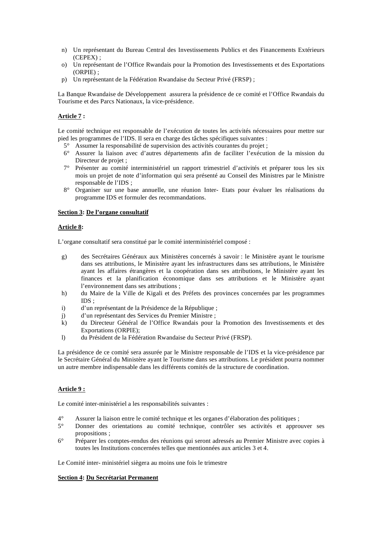- n) Un représentant du Bureau Central des Investissements Publics et des Financements Extérieurs (CEPEX) ;
- o) Un représentant de l'Office Rwandais pour la Promotion des Investissements et des Exportations (ORPIE) ;
- p) Un représentant de la Fédération Rwandaise du Secteur Privé (FRSP) ;

La Banque Rwandaise de Développement assurera la présidence de ce comité et l'Office Rwandais du Tourisme et des Parcs Nationaux, la vice-présidence.

## **Article 7 :**

Le comité technique est responsable de l'exécution de toutes les activités nécessaires pour mettre sur pied les programmes de l'IDS. Il sera en charge des tâches spécifiques suivantes :

- 5° Assumer la responsabilité de supervision des activités courantes du projet ;
- 6° Assurer la liaison avec d'autres départements afin de faciliter l'exécution de la mission du Directeur de projet ;
- 7° Présenter au comité interministériel un rapport trimestriel d'activités et préparer tous les six mois un projet de note d'information qui sera présenté au Conseil des Ministres par le Ministre responsable de l'IDS ;
- 8° Organiser sur une base annuelle, une réunion Inter- Etats pour évaluer les réalisations du programme IDS et formuler des recommandations.

## **Section 3: De l'organe consultatif**

## **Article 8:**

L'organe consultatif sera constitué par le comité interministériel composé :

- g) des Secrétaires Généraux aux Ministères concernés à savoir : le Ministère ayant le tourisme dans ses attributions, le Ministère ayant les infrastructures dans ses attributions, le Ministère ayant les affaires étrangères et la coopération dans ses attributions, le Ministère ayant les finances et la planification économique dans ses attributions et le Ministère ayant l'environnement dans ses attributions ;
- h) du Maire de la Ville de Kigali et des Préfets des provinces concernées par les programmes IDS ;
- i) d'un représentant de la Présidence de la République ;
- j) d'un représentant des Services du Premier Ministre ;
- k) du Directeur Général de l'Office Rwandais pour la Promotion des Investissements et des Exportations (ORPIE);
- l) du Président de la Fédération Rwandaise du Secteur Privé (FRSP).

La présidence de ce comité sera assurée par le Ministre responsable de l'IDS et la vice-présidence par le Secrétaire Général du Ministère ayant le Tourisme dans ses attributions. Le président pourra nommer un autre membre indispensable dans les différents comités de la structure de coordination.

## **Article 9 :**

Le comité inter-ministériel a les responsabilités suivantes :

- 4° Assurer la liaison entre le comité technique et les organes d'élaboration des politiques ;
- 5° Donner des orientations au comité technique, contrôler ses activités et approuver ses propositions ;
- 6° Préparer les comptes-rendus des réunions qui seront adressés au Premier Ministre avec copies à toutes les Institutions concernées telles que mentionnées aux articles 3 et 4.

Le Comité inter- ministériel siègera au moins une fois le trimestre

#### **Section 4: Du Secrétariat Permanent**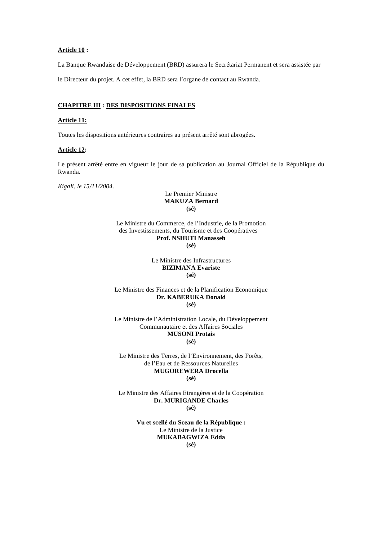## **Article 10 :**

La Banque Rwandaise de Développement (BRD) assurera le Secrétariat Permanent et sera assistée par

le Directeur du projet. A cet effet, la BRD sera l'organe de contact au Rwanda.

## **CHAPITRE III : DES DISPOSITIONS FINALES**

## **Article 11:**

Toutes les dispositions antérieures contraires au présent arrêté sont abrogées.

## **Article 12:**

Le présent arrêté entre en vigueur le jour de sa publication au Journal Officiel de la République du Rwanda.

*Kigali, le 15/11/2004.* 

## Le Premier Ministre **MAKUZA Bernard (sé)**

Le Ministre du Commerce, de l'Industrie, de la Promotion des Investissements, du Tourisme et des Coopératives **Prof. NSHUTI Manasseh (sé)** 

# Le Ministre des Infrastructures **BIZIMANA Evariste (sé)**

#### Le Ministre des Finances et de la Planification Economique **Dr. KABERUKA Donald (sé)**

Le Ministre de l'Administration Locale, du Développement Communautaire et des Affaires Sociales **MUSONI Protais (sé)** 

Le Ministre des Terres, de l'Environnement, des Forêts, de l'Eau et de Ressources Naturelles **MUGOREWERA Drocella (sé)**

Le Ministre des Affaires Etrangères et de la Coopération **Dr. MURIGANDE Charles (sé)** 

> **Vu et scellé du Sceau de la République :**  Le Ministre de la Justice **MUKABAGWIZA Edda (sé)**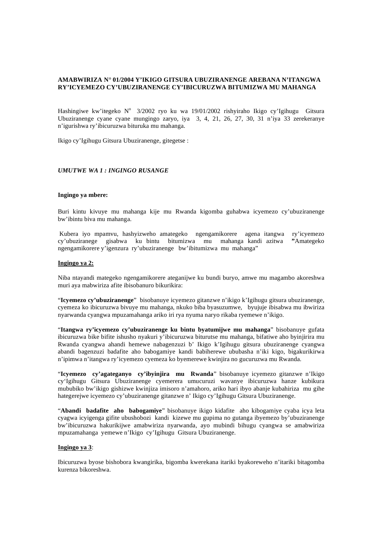## **AMABWIRIZA N° 01/2004 Y'IKIGO GITSURA UBUZIRANENGE AREBANA N'ITANGWA RY'ICYEMEZO CY'UBUZIRANENGE CY'IBICURUZWA BITUMIZWA MU MAHANGA**

Hashingiwe kw'itegeko  $N^{\circ}$  3/2002 ryo ku wa 19/01/2002 rishyiraho Ikigo cy'Igihugu Gitsura Ubuziranenge cyane cyane mungingo zaryo, iya 3, 4, 21, 26, 27, 30, 31 n'iya 33 zerekeranye n'igurishwa ry'ibicuruzwa bituruka mu mahanga.

Ikigo cy'Igihugu Gitsura Ubuziranenge, gitegetse :

## *UMUTWE WA 1 : INGINGO RUSANGE*

#### **Ingingo ya mbere:**

Buri kintu kivuye mu mahanga kije mu Rwanda kigomba guhabwa icyemezo cy'ubuziranenge bw'ibintu biva mu mahanga.

 Kubera iyo mpamvu, hashyizweho amategeko ngengamikorere agena itangwa ry'icyemezo cy'ubuziranege gisabwa ku bintu bitumizwa mu mahanga kandi azitwa **"**Amategeko ngengamikorere y'igenzura ry'ubuziranenge bw'ibitumizwa mu mahanga"

#### **Ingingo ya 2:**

Niba ntayandi mategeko ngengamikorere ateganijwe ku bundi buryo, amwe mu magambo akoreshwa muri aya mabwiriza afite ibisobanuro bikurikira:

"**Icyemezo cy'ubuziranenge**" bisobanuye icyemezo gitanzwe n'ikigo k'Igihugu gitsura ubuziranenge, cyemeza ko ibicuruzwa bivuye mu mahanga, nkuko biba byasuzumwe, byujuje ibisabwa mu ibwiriza nyarwanda cyangwa mpuzamahanga ariko iri rya nyuma naryo rikaba ryemewe n'ikigo.

"**Itangwa ry'icyemezo cy'ubuziranenge ku bintu byatumijwe mu mahanga**" bisobanuye gufata ibicuruzwa bike bifite ishusho nyakuri y'ibicuruzwa biturutse mu mahanga, bifatiwe aho byinjirira mu Rwanda cyangwa ahandi hemewe nabagenzuzi b' Ikigo k'Igihugu gitsura ubuziranenge cyangwa abandi bagenzuzi badafite aho babogamiye kandi babiherewe ububasha n'iki kigo, bigakurikirwa n'ipimwa n'itangwa ry'icyemezo cyemeza ko byemerewe kwinjira no gucuruzwa mu Rwanda.

"**Icyemezo cy'agateganyo cy'ibyinjira mu Rwanda**" bisobanuye icyemezo gitanzwe n'Ikigo cy'Igihugu Gitsura Ubuziranenge cyemerera umucuruzi wavanye ibicuruzwa hanze kubikura mububiko bw'ikigo gishizwe kwinjiza imisoro n'amahoro, ariko hari ibyo abanje kubahiriza mu gihe hategerejwe icyemezo cy'ubuziranenge gitanzwe n' Ikigo cy'Igihugu Gitsura Ubuziranenge.

"**Abandi badafite aho babogamiye**" bisobanuye ikigo kidafite aho kibogamiye cyaba icya leta cyagwa icyigenga gifite ubushobozi kandi kizewe mu gupima no gutanga ibyemezo by'ubuziranenge bw'ibicuruzwa hakurikijwe amabwiriza nyarwanda, ayo mubindi bihugu cyangwa se amabwiriza mpuzamahanga yemewe n'Ikigo cy'Igihugu Gitsura Ubuziranenge.

#### **Ingingo ya 3**:

Ibicuruzwa byose bishobora kwangirika, bigomba kwerekana itariki byakoreweho n'itariki bitagomba kurenza bikoreshwa.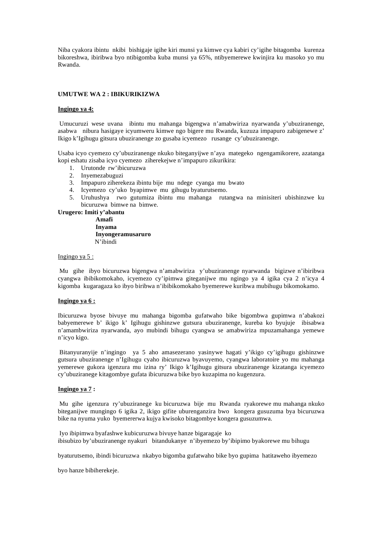Niba cyakora ibintu nkibi bishigaje igihe kiri munsi ya kimwe cya kabiri cy'igihe bitagomba kurenza bikoreshwa, ibiribwa byo ntibigomba kuba munsi ya 65%, ntibyemerewe kwinjira ku masoko yo mu Rwanda.

## **UMUTWE WA 2 : IBIKURIKIZWA**

## **Ingingo ya 4:**

 Umucuruzi wese uvana ibintu mu mahanga bigengwa n'amabwiriza nyarwanda y'ubuziranenge, asabwa nibura hasigaye icyumweru kimwe ngo bigere mu Rwanda, kuzuza impapuro zabigenewe z' Ikigo k'Igihugu gitsura ubuziranenge zo gusaba icyemezo rusange cy'ubuziranenge.

Usaba icyo cyemezo cy'ubuziranenge nkuko biteganyijwe n'aya mategeko ngengamikorere, azatanga kopi eshatu zisaba icyo cyemezo ziherekejwe n'impapuro zikurikira:

- 1. Urutonde rw'ibicuruzwa
- 2. Inyemezabuguzi
- 3. Impapuro ziherekeza ibintu bije mu ndege cyanga mu bwato
- 4. Icyemezo cy'uko byapimwe mu gihugu byaturutsemo.
- 5. Uruhushya rwo gutumiza ibintu mu mahanga rutangwa na minisiteri ubishinzwe ku bicuruzwa bimwe na bimwe.

**Urugero: Imiti y'abantu Amafi Inyama Inyongeramusaruro**  N'ibindi

Ingingo ya 5 :

 Mu gihe ibyo bicuruzwa bigengwa n'amabwiriza y'ubuziranenge nyarwanda bigizwe n'ibiribwa cyangwa ibibikomokaho, icyemezo cy'ipimwa giteganijwe mu ngingo ya 4 igika cya 2 n'icya 4 kigomba kugaragaza ko ibyo biribwa n'ibibikomokaho byemerewe kuribwa mubihugu bikomokamo.

#### **Ingingo ya 6 :**

Ibicuruzwa byose bivuye mu mahanga bigomba gufatwaho bike bigombwa gupimwa n'abakozi babyemerewe b' ikigo k' Igihugu gishinzwe gutsura ubuziranenge, kureba ko byujuje ibisabwa n'amambwiriza nyarwanda, ayo mubindi bihugu cyangwa se amabwiriza mpuzamahanga yemewe n'icyo kigo.

 Bitanyuranyije n'ingingo ya 5 aho amasezerano yasinywe hagati y'ikigo cy'igihugu gishinzwe gutsura ubuziranenge n'Igihugu cyaho ibicuruzwa byavuyemo, cyangwa laboratoire yo mu mahanga yemerewe gukora igenzura mu izina ry' Ikigo k'Igihugu gitsura ubuziranenge kizatanga icyemezo cy'ubuziranege kitagombye gufata ibicuruzwa bike byo kuzapima no kugenzura.

#### **Ingingo ya 7 :**

 Mu gihe igenzura ry'ubuziranege ku bicuruzwa bije mu Rwanda ryakorewe mu mahanga nkuko biteganijwe mungingo 6 igika 2, ikigo gifite uburenganzira bwo kongera gusuzuma bya bicuruzwa bike na nyuma yuko byemererwa kujya kwisoko bitagombye kongera gusuzumwa.

 Iyo ibipimwa byafashwe kubicuruzwa bivuye hanze bigaragaje ko ibisubizo by'ubuziranenge nyakuri bitandukanye n'ibyemezo by'ibipimo byakorewe mu bihugu

byaturutsemo, ibindi bicuruzwa nkabyo bigomba gufatwaho bike byo gupima hatitaweho ibyemezo

byo hanze bibiherekeje.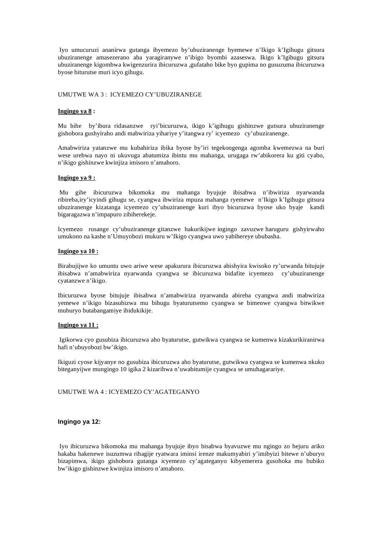Iyo umucuruzi ananirwa gutanga ibyemezo by'ubuziranenge byemewe n'Ikigo k'Igihugu gitsura ubuziranenge amasezerano aba yaragiranywe n'ibigo byombi azaseswa. Ikigo k'Igihugu gitsura ubuziranenge kigombwa kwigenzurira ibicuruzwa ,gufataho bike byo gupima no gusuzuma ibicuruzwa byose biturutse muri icyo gihugu.

## UMUTWE WA 3 : ICYEMEZO CY'UBUZIRANEGE

#### **Ingingo ya 8 :**

Mu bihe by'ibura ridasanzwe ryi'bicuruzwa, ikigo k'igihugu gishinzwe gutsura ubuziranenge gishobora gushyiraho andi mabwiriza yihariye y'itangwa ry' icyemezo cy'ubuziranenge.

Amabwiriza yatanzwe mu kubahiriza ibika byose by'iri tegekongenga agomba kwemezwa na buri wese urebwa nayo ni ukuvuga abatumiza ibintu mu mahanga, urugaga rw'abikorera ku giti cyabo, n'ikigo gishinzwe kwinjiza imisoro n'amahoro.

#### **Ingingo ya 9 :**

 Mu gihe ibicuruzwa bikomoka mu mahanga byujuje ibisabwa n'ibwiriza nyarwanda ribireba,iry'icyindi gihugu se, cyangwa ibwiriza mpuza mahanga ryemewe n'Ikigo k'Igihugu gitsura ubuziranenge kizatanga icyemezo cy'ubuziranenge kuri ibyo bicuruzwa byose uko byaje kandi bigaragazwa n'impapuro zibiherekeje.

Icyemezo rusange cy'ubuziranenge gitanzwe hakurikijwe ingingo zavuzwe haruguru gishyirwaho umukono na kashe n'Umuyobozi mukuru w'Ikigo cyangwa uwo yabihereye ububasha.

#### **Ingingo ya 10 :**

Birabujijwe ko umuntu uwo ariwe wese apakurura ibicuruzwa abishyira kwisoko ry'urwanda bitujuje ibisabwa n'amabwiriza nyarwanda cyangwa se ibicuruzwa bidafite icyemezo cy'ubuziranenge cyatanzwe n'ikigo.

Ibicuruzwa byose bitujuje ibisabwa n'amabwiriza nyarwanda abireba cyangwa andi mabwiriza yemewe n'ikigo bizasubizwa mu bihugu byaturutsemo cyangwa se bimenwe cyangwa bitwikwe muburyo butabangamiye ibidukikije.

#### **Ingingo ya 11 :**

 Igikorwa cyo gusubiza ibicuruzwa aho byaturutse, gutwikwa cyangwa se kumenwa kizakurikiranirwa hafi n'ubuyobozi bw'ikigo.

Ikiguzi cyose kijyanye no gusubiza ibicuruzwa aho byaturutse, gutwikwa cyangwa se kumenwa nkuko biteganyijwe mungingo 10 igika 2 kizarihwa n'uwabitumije cyangwa se umuhagarariye.

UMUTWE WA 4 : ICYEMEZO CY'AGATEGANYO

## **Ingingo ya 12:**

 Iyo ibicuruzwa bikomoka mu mahanga byujuje ibyo bisabwa byavuzwe mu ngingo zo hejuru ariko hakaba hakenewe isuzumwa rihagije ryatwara iminsi irenze makumyabiri y'imibyizi bitewe n'uburyo bizapimwa, ikigo gishobora gutanga icyemezo cy'agateganyo kibyemerera gusohoka mu bubiko bw'ikigo gishinzwe kwinjiza imisoro n'amahoro.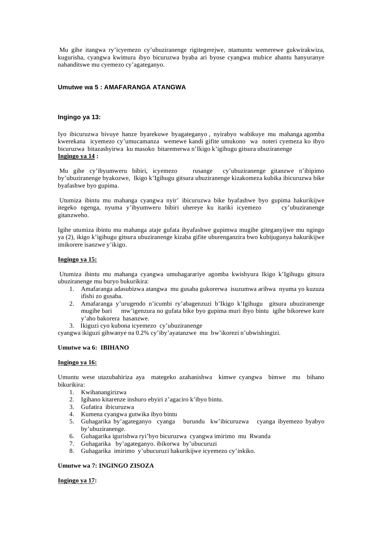Mu gihe itangwa ry'icyemezo cy'ubuziranenge rigitegerejwe, ntamuntu wemerewe gukwirakwiza, kugurisha, cyangwa kwimura ibyo bicuruzwa byaba ari byose cyangwa mubice ahantu hanyuranye nahanditswe mu cyemezo cy'agateganyo.

## **Umutwe wa 5 : AMAFARANGA ATANGWA**

#### **Ingingo ya 13:**

Iyo ibicuruzwa bivuye hanze byarekuwe byagateganyo , nyirabyo wabikuye mu mahanga agomba kwerekana icyemezo cy'umucamanza wemewe kandi gifite umukono wa noteri cyemeza ko ibyo bicuruzwa bitazashyirwa ku masoko bitaremerwa n'Ikigo k'igihugu gitsura ubuziranenge **Ingingo ya 14 :** 

 Mu gihe cy'ibyumweru bibiri, icyemezo rusange cy'ubuziranenge gitanzwe n'ibipimo by'ubuziranenge byakozwe, Ikigo k'Igihugu gitsura ubuziranenge kizakomeza kubika ibicuruzwa bike byafashwe byo gupima.

 Utumiza ibintu mu mahanga cyangwa nyir' ibicuruzwa bike byafashwe byo gupima hakurikijwe itegeko ngenga, nyuma y'ibyumweru bibiri uhereye ku itariki icyemezo cy'ubuziranenge gitanzweho.

Igihe utumiza ibintu mu mahanga ataje gufata ibyafashwe gupimwa mugihe giteganyijwe mu ngingo ya (2), ikigo k'igihugu gitsura ubuziranenge kizaba gifite uburenganzira bwo kubijugunya hakurikijwe imikorere isanzwe y'ikigo.

#### **Ingingo ya 15:**

 Utumiza ibintu mu mahanga cyangwa umuhagarariye agomba kwishyura Ikigo k'Igihugu gitsura ubuziranenge mu buryo bukurikira:

- 1. Amafaranga adasubizwa atangwa mu gusaba gukorerwa isuzumwa arihwa nyuma yo kuzuza ifishi zo gusaba.
- 2. Amafaranga y'urugendo n'icumbi ry'abagenzuzi b'Ikigo k'Igihugu gitsura ubuziranenge mugihe bari mw'igenzura no gufata bike byo gupima muri ibyo bintu igihe bikorewe kure y'aho bakorera hasanzwe.
- 3. Ikiguzi cyo kubona icyemezo cy'ubuziranenge

cyangwa ikiguzi gihwanye na 0.2% cy'iby'ayatanzwe mu bw'ikorezi n'ubwishingizi.

## **Umutwe wa 6: IBIHANO**

#### **Ingingo ya 16:**

Umuntu wese utazubahiriza aya mategeko azahanishwa kimwe cyangwa bimwe mu bihano bikurikira:

- 1. Kwihanangirizwa
- 2. Igihano kitarenze inshuro ebyiri z'agaciro k'ibyo bintu.
- 3. Gufatira ibicuruzwa
- 4. Kumena cyangwa gutwika ibyo bintu
- 5. Guhagarika by'agateganyo cyanga burundu kw'ibicuruzwa cyanga ibyemezo byabyo by'ubuziranenge.
- 6. Guhagarika igurishwa ryi'byo bicuruzwa cyangwa imirimo mu Rwanda
- 7. Guhagarika by'agateganyo. ibikorwa by'ubucuruzi
- 8. Guhagarika imirimo y'ubucuruzi hakurikijwe icyemezo cy'inkiko.

## **Umutwe wa 7: INGINGO ZISOZA**

#### **Ingingo ya 17:**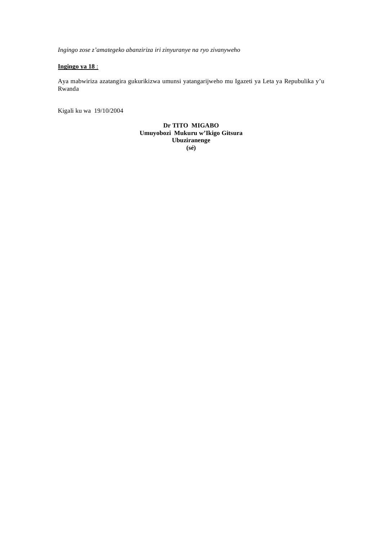*Ingingo zose z'amategeko abanziriza iri zinyuranye na ryo zivanyweho* 

## **Ingingo ya 18** :

Aya mabwiriza azatangira gukurikizwa umunsi yatangarijweho mu Igazeti ya Leta ya Repubulika y'u Rwanda

Kigali ku wa 19/10/2004

**Dr TITO MIGABO Umuyobozi Mukuru w'Ikigo Gitsura Ubuziranenge (sé)**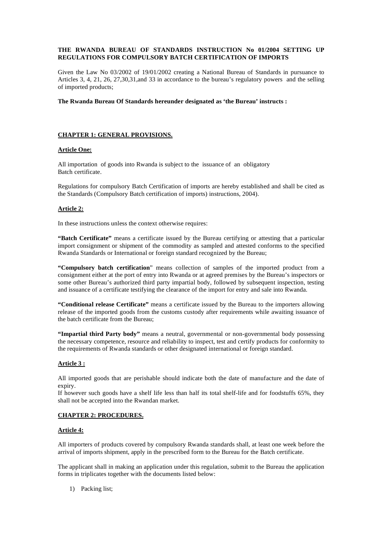## **THE RWANDA BUREAU OF STANDARDS INSTRUCTION No 01/2004 SETTING UP REGULATIONS FOR COMPULSORY BATCH CERTIFICATION OF IMPORTS**

Given the Law No 03/2002 of 19/01/2002 creating a National Bureau of Standards in pursuance to Articles 3, 4, 21, 26, 27,30,31,and 33 in accordance to the bureau's regulatory powers and the selling of imported products;

**The Rwanda Bureau Of Standards hereunder designated as 'the Bureau' instructs :** 

## **CHAPTER 1: GENERAL PROVISIONS.**

## **Article One:**

All importation of goods into Rwanda is subject to the issuance of an obligatory Batch certificate.

Regulations for compulsory Batch Certification of imports are hereby established and shall be cited as the Standards (Compulsory Batch certification of imports) instructions, 2004).

## **Article 2:**

In these instructions unless the context otherwise requires:

**"Batch Certificate"** means a certificate issued by the Bureau certifying or attesting that a particular import consignment or shipment of the commodity as sampled and attested conforms to the specified Rwanda Standards or International or foreign standard recognized by the Bureau;

**"Compulsory batch certification**" means collection of samples of the imported product from a consignment either at the port of entry into Rwanda or at agreed premises by the Bureau's inspectors or some other Bureau's authorized third party impartial body, followed by subsequent inspection, testing and issuance of a certificate testifying the clearance of the import for entry and sale into Rwanda.

**"Conditional release Certificate"** means a certificate issued by the Bureau to the importers allowing release of the imported goods from the customs custody after requirements while awaiting issuance of the batch certificate from the Bureau;

**"Impartial third Party body"** means a neutral, governmental or non-governmental body possessing the necessary competence, resource and reliability to inspect, test and certify products for conformity to the requirements of Rwanda standards or other designated international or foreign standard.

#### **Article 3 :**

All imported goods that are perishable should indicate both the date of manufacture and the date of expiry.

If however such goods have a shelf life less than half its total shelf-life and for foodstuffs 65%, they shall not be accepted into the Rwandan market.

#### **CHAPTER 2: PROCEDURES.**

#### **Article 4:**

All importers of products covered by compulsory Rwanda standards shall, at least one week before the arrival of imports shipment, apply in the prescribed form to the Bureau for the Batch certificate.

The applicant shall in making an application under this regulation, submit to the Bureau the application forms in triplicates together with the documents listed below:

1) Packing list;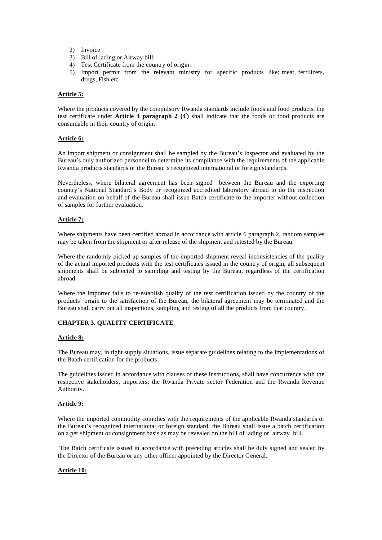- 2) Invoice
- 3) Bill of lading or Airway bill;
- 4) Test Certificate from the country of origin.
- 5) Import permit from the relevant ministry for specific products like; meat, fertilizers, drugs, Fish etc

## **Article 5:**

Where the products covered by the compulsory Rwanda standards include foods and food products, the test certificate under **Article 4 paragraph 2 (4)** shall indicate that the foods or food products are consumable in their country of origin.

## **Article 6:**

An import shipment or consignment shall be sampled by the Bureau's Inspector and evaluated by the Bureau's duly authorized personnel to determine its compliance with the requirements of the applicable Rwanda products standards or the Bureau's recognized international or foreign standards.

Nevertheless**,** where bilateral agreement has been signed between the Bureau and the exporting country's National Standard's Body or recognized accredited laboratory abroad to do the inspection and evaluation on behalf of the Bureau shall issue Batch certificate to the importer without collection of samples for further evaluation.

## **Article 7:**

Where shipments have been certified abroad in accordance with article 6 paragraph 2, random samples may be taken from the shipment or after release of the shipment and retested by the Bureau.

Where the randomly picked up samples of the imported shipment reveal inconsistencies of the quality of the actual imported products with the test certificates issued in the country of origin, all subsequent shipments shall be subjected to sampling and testing by the Bureau, regardless of the certification abroad.

Where the importer fails to re-establish quality of the test certification issued by the country of the products' origin to the satisfaction of the Bureau, the bilateral agreement may be terminated and the Bureau shall carry out all inspections, sampling and testing of all the products from that country.

## **CHAPTER 3. QUALITY CERTIFICATE**

#### **Article 8:**

The Bureau may, in tight supply situations, issue separate guidelines relating to the implementations of the Batch certification for the products.

The guidelines issued in accordance with clauses of these instructions, shall have concurrence with the respective stakeholders, importers, the Rwanda Private sector Federation and the Rwanda Revenue Authority.

## **Article 9:**

Where the imported commodity complies with the requirements of the applicable Rwanda standards or the Bureau's recognized international or foreign standard, the Bureau shall issue a batch certification on a per shipment or consignment basis as may be revealed on the bill of lading or airway bill.

 The Batch certificate issued in accordance with preceding articles shall be duly signed and sealed by the Director of the Bureau or any other officer appointed by the Director General.

#### **Article 10:**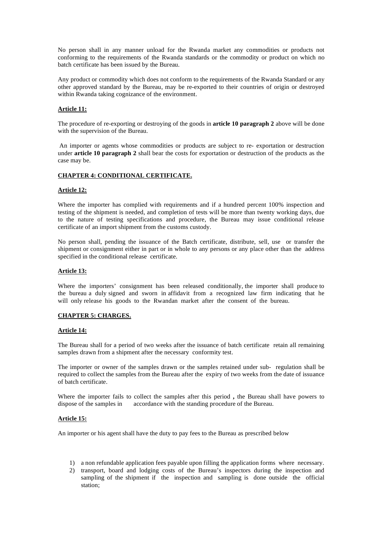No person shall in any manner unload for the Rwanda market any commodities or products not conforming to the requirements of the Rwanda standards or the commodity or product on which no batch certificate has been issued by the Bureau.

Any product or commodity which does not conform to the requirements of the Rwanda Standard or any other approved standard by the Bureau, may be re-exported to their countries of origin or destroyed within Rwanda taking cognizance of the environment.

## **Article 11:**

The procedure of re-exporting or destroying of the goods in **article 10 paragraph 2** above will be done with the supervision of the Bureau.

 An importer or agents whose commodities or products are subject to re- exportation or destruction under **article 10 paragraph 2** shall bear the costs for exportation or destruction of the products as the case may be.

#### **CHAPTER 4: CONDITIONAL CERTIFICATE.**

## **Article 12:**

Where the importer has complied with requirements and if a hundred percent 100% inspection and testing of the shipment is needed, and completion of tests will be more than twenty working days, due to the nature of testing specifications and procedure, the Bureau may issue conditional release certificate of an import shipment from the customs custody.

No person shall, pending the issuance of the Batch certificate, distribute, sell, use or transfer the shipment or consignment either in part or in whole to any persons or any place other than the address specified in the conditional release certificate.

#### **Article 13:**

Where the importers' consignment has been released conditionally, the importer shall produce to the bureau a duly signed and sworn in affidavit from a recognized law firm indicating that he will only release his goods to the Rwandan market after the consent of the bureau.

## **CHAPTER 5: CHARGES.**

#### **Article 14:**

The Bureau shall for a period of two weeks after the issuance of batch certificate retain all remaining samples drawn from a shipment after the necessary conformity test.

The importer or owner of the samples drawn or the samples retained under sub- regulation shall be required to collect the samples from the Bureau after the expiry of two weeks from the date of issuance of batch certificate.

Where the importer fails to collect the samples after this period **,** the Bureau shall have powers to dispose of the samples in accordance with the standing procedure of the Bureau.

#### **Article 15:**

An importer or his agent shall have the duty to pay fees to the Bureau as prescribed below

- 1) a non refundable application fees payable upon filling the application forms where necessary.
- 2) transport, board and lodging costs of the Bureau's inspectors during the inspection and sampling of the shipment if the inspection and sampling is done outside the official station;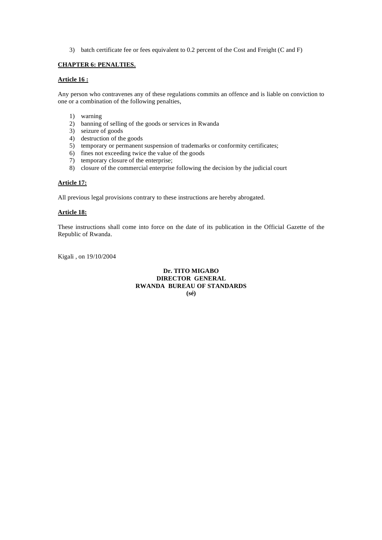3) batch certificate fee or fees equivalent to 0.2 percent of the Cost and Freight (C and F)

## **CHAPTER 6: PENALTIES.**

## **Article 16 :**

Any person who contravenes any of these regulations commits an offence and is liable on conviction to one or a combination of the following penalties,

- 1) warning
- 2) banning of selling of the goods or services in Rwanda
- 3) seizure of goods
- 4) destruction of the goods
- 5) temporary or permanent suspension of trademarks or conformity certificates;
- 6) fines not exceeding twice the value of the goods
- 7) temporary closure of the enterprise;
- 8) closure of the commercial enterprise following the decision by the judicial court

## **Article 17:**

All previous legal provisions contrary to these instructions are hereby abrogated.

#### **Article 18:**

These instructions shall come into force on the date of its publication in the Official Gazette of the Republic of Rwanda.

Kigali , on 19/10/2004

## **Dr. TITO MIGABO DIRECTOR GENERAL RWANDA BUREAU OF STANDARDS (sé)**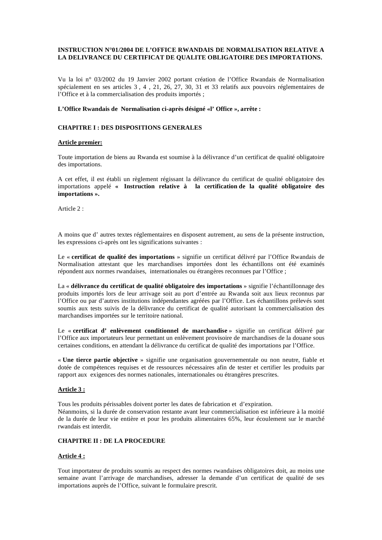## **INSTRUCTION N°01/2004 DE L'OFFICE RWANDAIS DE NORMALISATION RELATIVE A LA DELIVRANCE DU CERTIFICAT DE QUALITE OBLIGATOIRE DES IMPORTATIONS.**

Vu la loi n° 03/2002 du 19 Janvier 2002 portant création de l'Office Rwandais de Normalisation spécialement en ses articles 3 , 4 , 21, 26, 27, 30, 31 et 33 relatifs aux pouvoirs réglementaires de l'Office et à la commercialisation des produits importés ;

#### **L'Office Rwandais de Normalisation ci-après désigné «l' Office », arrête :**

## **CHAPITRE I : DES DISPOSITIONS GENERALES**

## **Article premier:**

Toute importation de biens au Rwanda est soumise à la délivrance d'un certificat de qualité obligatoire des importations.

A cet effet, il est établi un règlement régissant la délivrance du certificat de qualité obligatoire des importations appelé **« Instruction relative à la certification de la qualité obligatoire des importations ».**

Article 2 :

A moins que d' autres textes réglementaires en disposent autrement, au sens de la présente instruction, les expressions ci-après ont les significations suivantes :

Le « **certificat de qualité des importations** » signifie un certificat délivré par l'Office Rwandais de Normalisation attestant que les marchandises importées dont les échantillons ont été examinés répondent aux normes rwandaises, internationales ou étrangères reconnues par l'Office ;

La « **délivrance du certificat de qualité obligatoire des importations** » signifie l'échantillonnage des produits importés lors de leur arrivage soit au port d'entrée au Rwanda soit aux lieux reconnus par l'Office ou par d'autres institutions indépendantes agréées par l'Office. Les échantillons prélevés sont soumis aux tests suivis de la délivrance du certificat de qualité autorisant la commercialisation des marchandises importées sur le territoire national.

Le « **certificat d' enlèvement conditionnel de marchandise** » signifie un certificat délivré par l'Office aux importateurs leur permettant un enlèvement provisoire de marchandises de la douane sous certaines conditions, en attendant la délivrance du certificat de qualité des importations par l'Office.

« **Une tierce partie objective** » signifie une organisation gouvernementale ou non neutre, fiable et dotée de compétences requises et de ressources nécessaires afin de tester et certifier les produits par rapport aux exigences des normes nationales, internationales ou étrangères prescrites.

## **Article 3 :**

Tous les produits périssables doivent porter les dates de fabrication et d'expiration. Néanmoins, si la durée de conservation restante avant leur commercialisation est inférieure à la moitié de la durée de leur vie entière et pour les produits alimentaires 65%, leur écoulement sur le marché rwandais est interdit.

## **CHAPITRE II : DE LA PROCEDURE**

## **Article 4 :**

Tout importateur de produits soumis au respect des normes rwandaises obligatoires doit, au moins une semaine avant l'arrivage de marchandises, adresser la demande d'un certificat de qualité de ses importations auprès de l'Office, suivant le formulaire prescrit.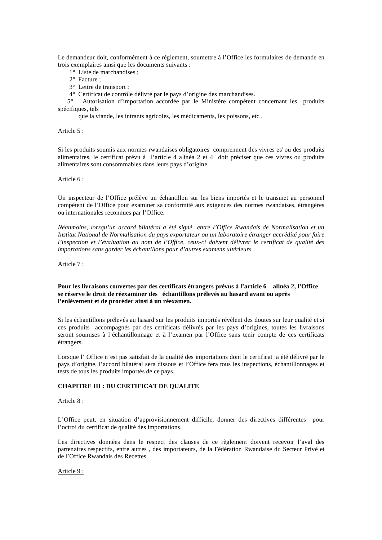Le demandeur doit, conformément à ce règlement, soumettre à l'Office les formulaires de demande en trois exemplaires ainsi que les documents suivants :

- 1° Liste de marchandises ;
- 2° Facture ;
- 3° Lettre de transport ;
- 4° Certificat de contrôle délivré par le pays d'origine des marchandises.

 5° Autorisation d'importation accordée par le Ministère compétent concernant les produits spécifiques, tels

que la viande, les intrants agricoles, les médicaments, les poissons, etc .

#### Article 5 :

Si les produits soumis aux normes rwandaises obligatoires comprennent des vivres et/ ou des produits alimentaires, le certificat prévu à l'article 4 alinéa 2 et 4 doit préciser que ces vivres ou produits alimentaires sont consommables dans leurs pays d'origine.

#### Article 6 :

Un inspecteur de l'Office prélève un échantillon sur les biens importés et le transmet au personnel compétent de l'Office pour examiner sa conformité aux exigences de*s* normes rwandaises, étrangères ou internationales reconnues par l'Office.

*Néanmoins, lorsqu'un accord bilatéral a été signé entre l'Office Rwandais de Normalisation et un Institut National de Normalisation du pays exportateur ou un laboratoire étranger accrédité pour faire l'inspection et l'évaluation au nom de l'Office, ceux-ci doivent délivrer le certificat de qualité des importations sans garder les échantillons pour d'autres examens ultérieurs.* 

Article 7 :

## **Pour les livraisons couvertes par des certificats étrangers prévus à l'article 6 alinéa 2, l'Office se réserve le droit de réexaminer des échantillons prélevés au hasard avant ou après l'enlèvement et de procéder ainsi à un réexamen.**

Si les échantillons prélevés au hasard sur les produits importés révèlent des doutes sur leur qualité et si ces produits accompagnés par des certificats délivrés par les pays d'origines, toutes les livraisons seront soumises à l'échantillonnage et à l'examen par l'Office sans tenir compte de ces certificats étrangers.

Lorsque l' Office n'est pas satisfait de la qualité des importations dont le certificat a été délivré par le pays d'origine, l'accord bilatéral sera dissous et l'Office fera tous les inspections, échantillonnages et tests de tous les produits importés de ce pays.

## **CHAPITRE III : DU CERTIFICAT DE QUALITE**

#### Article 8 :

L'Office peut, en situation d'approvisionnement difficile, donner des directives différentes pour l'octroi du certificat de qualité des importations.

Les directives données dans le respect des clauses de ce règlement doivent recevoir l'aval des partenaires respectifs, entre autres , des importateurs, de la Fédération Rwandaise du Secteur Privé et de l'Office Rwandais des Recettes.

Article 9 :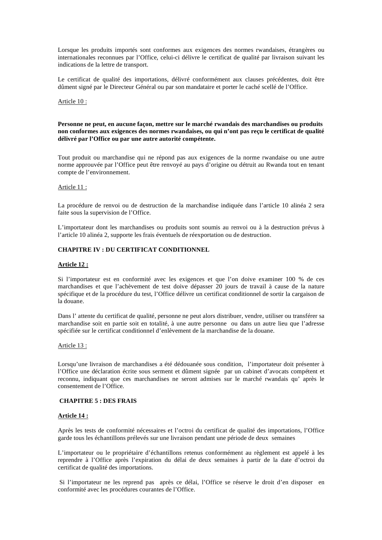Lorsque les produits importés sont conformes aux exigences des normes rwandaises, étrangères ou internationales reconnues par l'Office, celui-ci délivre le certificat de qualité par livraison suivant les indications de la lettre de transport.

Le certificat de qualité des importations, délivré conformément aux clauses précédentes, doit être dûment signé par le Directeur Général ou par son mandataire et porter le caché scellé de l'Office.

#### Article 10 :

### **Personne ne peut, en aucune façon, mettre sur le marché rwandais des marchandises ou produits non conformes aux exigences des normes rwandaises, ou qui n'ont pas reçu le certificat de qualité délivré par l'Office ou par une autre autorité compétente.**

Tout produit ou marchandise qui ne répond pas aux exigences de la norme rwandaise ou une autre norme approuvée par l'Office peut être renvoyé au pays d'origine ou détruit au Rwanda tout en tenant compte de l'environnement.

#### Article 11 :

La procédure de renvoi ou de destruction de la marchandise indiquée dans l'article 10 alinéa 2 sera faite sous la supervision de l'Office.

L'importateur dont les marchandises ou produits sont soumis au renvoi ou à la destruction prévus à l'article 10 alinéa 2, supporte les frais éventuels de réexportation ou de destruction.

## **CHAPITRE IV : DU CERTIFICAT CONDITIONNEL**

#### **Article 12 :**

Si l'importateur est en conformité avec les exigences et que l'on doive examiner 100 % de ces marchandises et que l'achèvement de test doive dépasser 20 jours de travail à cause de la nature spécifique et de la procédure du test, l'Office délivre un certificat conditionnel de sortir la cargaison de la douane.

Dans l' attente du certificat de qualité, personne ne peut alors distribuer, vendre, utiliser ou transférer sa marchandise soit en partie soit en totalité, à une autre personne ou dans un autre lieu que l'adresse spécifiée sur le certificat conditionnel d'enlèvement de la marchandise de la douane.

#### Article 13 :

Lorsqu'une livraison de marchandises a été dédouanée sous condition, l'importateur doit présenter à l'Office une déclaration écrite sous serment et dûment signée par un cabinet d'avocats compétent et reconnu, indiquant que ces marchandises ne seront admises sur le marché rwandais qu' après le consentement de l'Office.

#### **CHAPITRE 5 : DES FRAIS**

#### **Article 14 :**

Après les tests de conformité nécessaires et l'octroi du certificat de qualité des importations, l'Office garde tous les échantillons prélevés sur une livraison pendant une période de deux semaines

L'importateur ou le propriétaire d'échantillons retenus conformément au règlement est appelé à les reprendre à l'Office après l'expiration du délai de deux semaines à partir de la date d'octroi du certificat de qualité des importations.

 Si l'importateur ne les reprend pas après ce délai, l'Office se réserve le droit d'en disposer en conformité avec les procédures courantes de l'Office.